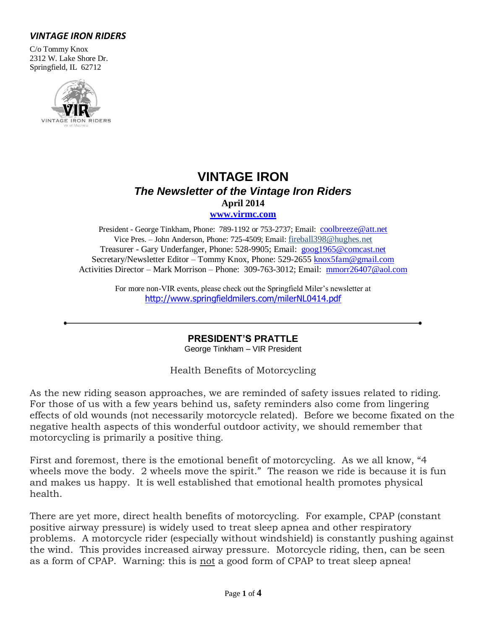# *VINTAGE IRON RIDERS*

C/o Tommy Knox 2312 W. Lake Shore Dr. Springfield, IL 62712



# **VINTAGE IRON** *The Newsletter of the Vintage Iron Riders* **April 2014 [www.virmc.com](http://www.virmc.com/)**

President - George Tinkham, Phone: 789-1192 or 753-2737; Email: [coolbreeze@att.net](mailto:coolbreeze@att.net) Vice Pres. – John Anderson, Phone: 725-4509; Email: fireball398@hughes.net Treasurer - Gary Underfanger, Phone: 528-9905; Email: [goog1965@comcast.net](mailto:goog1965@comcast.net) Secretary/Newsletter Editor – Tommy Knox, Phone: 529-2655 [knox5fam@gmail.com](mailto:knox5fam@gmail.com) Activities Director – Mark Morrison – Phone: 309-763-3012; Email: [mmorr26407@aol.com](mailto:mmorr26407@aol.com)

> For more non-VIR events, please check out the Springfield Miler's newsletter at [http://www.springfieldmilers.com/milerNL0414.pdf](http://www.springfieldmilers.com/milerNL0113.pdf)

> > **PRESIDENT'S PRATTLE** George Tinkham – VIR President

Health Benefits of Motorcycling

As the new riding season approaches, we are reminded of safety issues related to riding. For those of us with a few years behind us, safety reminders also come from lingering effects of old wounds (not necessarily motorcycle related). Before we become fixated on the negative health aspects of this wonderful outdoor activity, we should remember that motorcycling is primarily a positive thing.

First and foremost, there is the emotional benefit of motorcycling. As we all know, "4 wheels move the body. 2 wheels move the spirit." The reason we ride is because it is fun and makes us happy. It is well established that emotional health promotes physical health.

There are yet more, direct health benefits of motorcycling. For example, CPAP (constant positive airway pressure) is widely used to treat sleep apnea and other respiratory problems. A motorcycle rider (especially without windshield) is constantly pushing against the wind. This provides increased airway pressure. Motorcycle riding, then, can be seen as a form of CPAP. Warning: this is not a good form of CPAP to treat sleep apnea!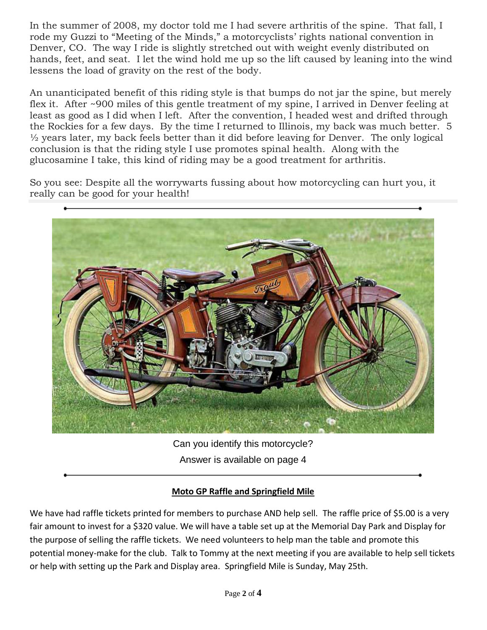In the summer of 2008, my doctor told me I had severe arthritis of the spine. That fall, I rode my Guzzi to "Meeting of the Minds," a motorcyclists' rights national convention in Denver, CO. The way I ride is slightly stretched out with weight evenly distributed on hands, feet, and seat. I let the wind hold me up so the lift caused by leaning into the wind lessens the load of gravity on the rest of the body.

An unanticipated benefit of this riding style is that bumps do not jar the spine, but merely flex it. After ~900 miles of this gentle treatment of my spine, I arrived in Denver feeling at least as good as I did when I left. After the convention, I headed west and drifted through the Rockies for a few days. By the time I returned to Illinois, my back was much better. 5  $\frac{1}{2}$  years later, my back feels better than it did before leaving for Denver. The only logical conclusion is that the riding style I use promotes spinal health. Along with the glucosamine I take, this kind of riding may be a good treatment for arthritis.

So you see: Despite all the worrywarts fussing about how motorcycling can hurt you, it really can be good for your health!



Can you identify this motorcycle? Answer is available on page 4

# **Moto GP Raffle and Springfield Mile**

We have had raffle tickets printed for members to purchase AND help sell. The raffle price of \$5.00 is a very fair amount to invest for a \$320 value. We will have a table set up at the Memorial Day Park and Display for the purpose of selling the raffle tickets. We need volunteers to help man the table and promote this potential money-make for the club. Talk to Tommy at the next meeting if you are available to help sell tickets or help with setting up the Park and Display area. Springfield Mile is Sunday, May 25th.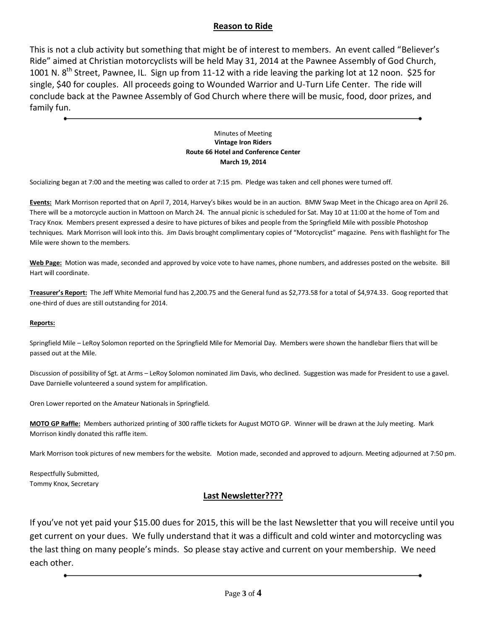## **Reason to Ride**

This is not a club activity but something that might be of interest to members. An event called "Believer's Ride" aimed at Christian motorcyclists will be held May 31, 2014 at the Pawnee Assembly of God Church, 1001 N. 8<sup>th</sup> Street, Pawnee, IL. Sign up from 11-12 with a ride leaving the parking lot at 12 noon. \$25 for single, \$40 for couples. All proceeds going to Wounded Warrior and U-Turn Life Center. The ride will conclude back at the Pawnee Assembly of God Church where there will be music, food, door prizes, and family fun.

> Minutes of Meeting **Vintage Iron Riders Route 66 Hotel and Conference Center March 19, 2014**

Socializing began at 7:00 and the meeting was called to order at 7:15 pm. Pledge was taken and cell phones were turned off.

**Events:** Mark Morrison reported that on April 7, 2014, Harvey's bikes would be in an auction. BMW Swap Meet in the Chicago area on April 26. There will be a motorcycle auction in Mattoon on March 24. The annual picnic is scheduled for Sat. May 10 at 11:00 at the home of Tom and Tracy Knox. Members present expressed a desire to have pictures of bikes and people from the Springfield Mile with possible Photoshop techniques. Mark Morrison will look into this. Jim Davis brought complimentary copies of "Motorcyclist" magazine. Pens with flashlight for The Mile were shown to the members.

**Web Page:** Motion was made, seconded and approved by voice vote to have names, phone numbers, and addresses posted on the website. Bill Hart will coordinate.

**Treasurer's Report:** The Jeff White Memorial fund has 2,200.75 and the General fund as \$2,773.58 for a total of \$4,974.33. Goog reported that one-third of dues are still outstanding for 2014.

#### **Reports:**

Springfield Mile – LeRoy Solomon reported on the Springfield Mile for Memorial Day. Members were shown the handlebar fliers that will be passed out at the Mile.

Discussion of possibility of Sgt. at Arms – LeRoy Solomon nominated Jim Davis, who declined. Suggestion was made for President to use a gavel. Dave Darnielle volunteered a sound system for amplification.

Oren Lower reported on the Amateur Nationals in Springfield.

**MOTO GP Raffle:** Members authorized printing of 300 raffle tickets for August MOTO GP. Winner will be drawn at the July meeting. Mark Morrison kindly donated this raffle item.

Mark Morrison took pictures of new members for the website. Motion made, seconded and approved to adjourn. Meeting adjourned at 7:50 pm.

Respectfully Submitted, Tommy Knox, Secretary

### **Last Newsletter????**

If you've not yet paid your \$15.00 dues for 2015, this will be the last Newsletter that you will receive until you get current on your dues. We fully understand that it was a difficult and cold winter and motorcycling was the last thing on many people's minds. So please stay active and current on your membership. We need each other.